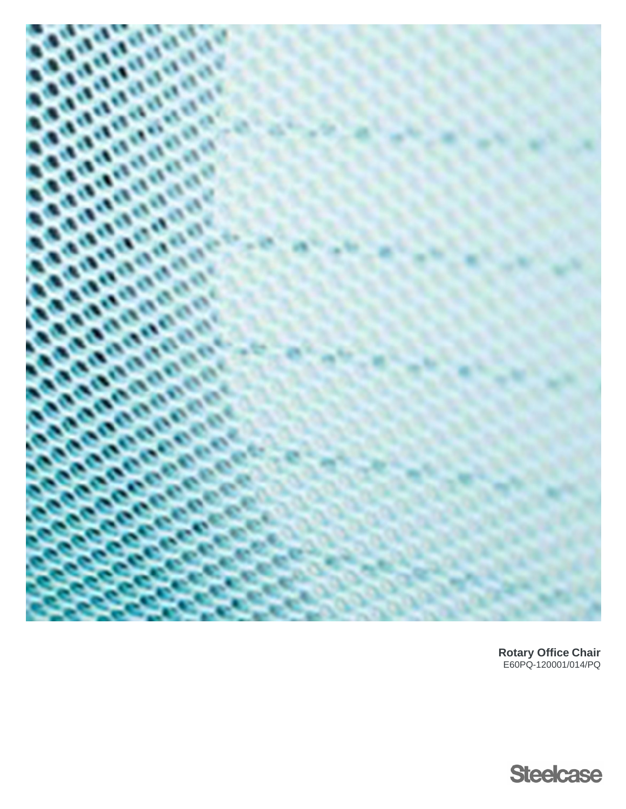

**Rotary Office Chair** E60PQ-120001/014/PQ

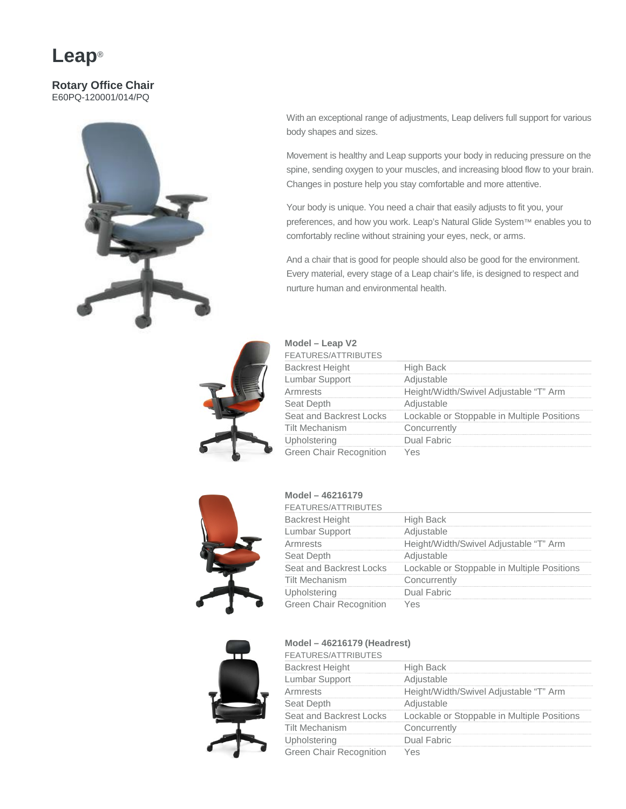### **Leap**®

#### **Rotary Office Chair** E60PQ-120001/014/PQ



With an exceptional range of adjustments, Leap delivers full support for various body shapes and sizes.

Movement is healthy and Leap supports your body in reducing pressure on the spine, sending oxygen to your muscles, and increasing blood flow to your brain. Changes in posture help you stay comfortable and more attentive.

Your body is unique. You need a chair that easily adjusts to fit you, your preferences, and how you work. Leap's Natural Glide System™ enables you to comfortably recline without straining your eyes, neck, or arms.

And a chair that is good for people should also be good for the environment. Every material, every stage of a Leap chair's life, is designed to respect and nurture human and environmental health.



| Model – Leap V2<br><b>FEATURES/ATTRIBUTES</b> |                                                                     |
|-----------------------------------------------|---------------------------------------------------------------------|
| <b>Backrest Height</b>                        | High Back                                                           |
| Lumbar Support                                | Adjustable                                                          |
| Armrests                                      | Height/Width/Swivel Adjustable "T" Arm                              |
| Seat Depth                                    | Adjustable                                                          |
|                                               | Seat and Backrest Locks Lockable or Stoppable in Multiple Positions |
| <b>Tilt Mechanism</b>                         | Concurrently                                                        |
| Upholstering                                  | Dual Fabric                                                         |
| <b>Green Chair Recognition</b>                |                                                                     |



### **Model – 46216179**

| <b>FEATURES/ATTRIBUTES</b>     |                                             |
|--------------------------------|---------------------------------------------|
| <b>Backrest Height</b>         | High Back                                   |
| Lumbar Support                 | Adjustable                                  |
| Armrests                       | Height/Width/Swivel Adjustable "T" Arm      |
| Seat Depth                     | Adiustable                                  |
| Seat and Backrest Locks        | Lockable or Stoppable in Multiple Positions |
| Tilt Mechanism                 | Concurrently                                |
| Upholstering                   | Dual Fabric                                 |
| <b>Green Chair Recognition</b> |                                             |

### **Model – 46216179 (Headrest)**



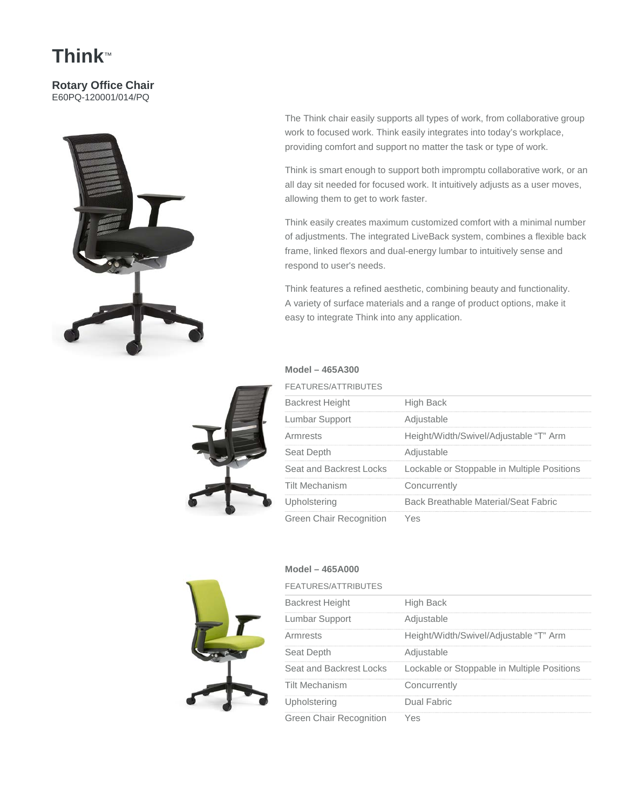# **Think**™

#### **Rotary Office Chair** E60PQ-120001/014/PQ



The Think chair easily supports all types of work, from collaborative group work to focused work. Think easily integrates into today's workplace, providing comfort and support no matter the task or type of work.

Think is smart enough to support both impromptu collaborative work, or an all day sit needed for focused work. It intuitively adjusts as a user moves, allowing them to get to work faster.

Think easily creates maximum customized comfort with a minimal number of adjustments. The integrated LiveBack system, combines a flexible back frame, linked flexors and dual-energy lumbar to intuitively sense and respond to user's needs.

Think features a refined aesthetic, combining beauty and functionality. A variety of surface materials and a range of product options, make it easy to integrate Think into any application.

#### **Model – 465A300**

| FEATURES/ATTRIBUTES     |                                             |
|-------------------------|---------------------------------------------|
| <b>Backrest Height</b>  | High Back                                   |
| Lumbar Support          | Adjustable                                  |
| Armrests                | Height/Width/Swivel/Adjustable "T" Arm      |
| Seat Depth              | Adjustable                                  |
| Seat and Backrest Locks | Lockable or Stoppable in Multiple Positions |
| <b>Tilt Mechanism</b>   | Concurrently                                |
| Upholstering            | <b>Back Breathable Material/Seat Fabric</b> |
| Green Chair Recognition | $\sim$                                      |



### **Model – 465A000**

| <b>FEATURES/ATTRIBUTES</b>     |                                             |
|--------------------------------|---------------------------------------------|
| <b>Backrest Height</b>         | High Back                                   |
| Lumbar Support                 | Adjustable                                  |
| Armrests                       | Height/Width/Swivel/Adjustable "T" Arm      |
| Seat Depth                     | Adjustable                                  |
| Seat and Backrest Locks        | Lockable or Stoppable in Multiple Positions |
| Tilt Mechanism                 | Concurrently                                |
| Upholstering                   | Dual Fabric                                 |
| <b>Green Chair Recognition</b> | Yes                                         |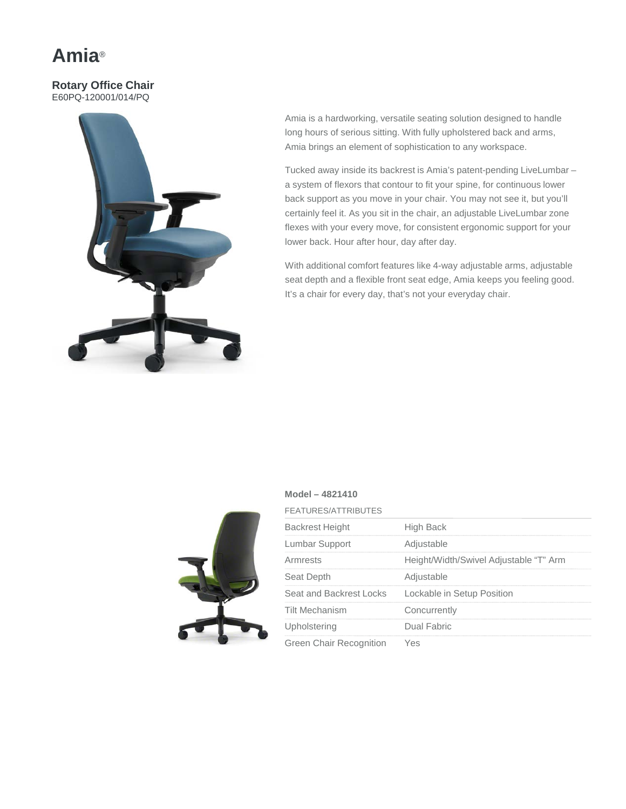### **Amia**®

#### **Rotary Office Chair** E60PQ-120001/014/PQ



Amia is a hardworking, versatile seating solution designed to handle long hours of serious sitting. With fully upholstered back and arms, Amia brings an element of sophistication to any workspace.

Tucked away inside its backrest is Amia's patent-pending LiveLumbar – a system of flexors that contour to fit your spine, for continuous lower back support as you move in your chair. You may not see it, but you'll certainly feel it. As you sit in the chair, an adjustable LiveLumbar zone flexes with your every move, for consistent ergonomic support for your lower back. Hour after hour, day after day.

With additional comfort features like 4-way adjustable arms, adjustable seat depth and a flexible front seat edge, Amia keeps you feeling good. It's a chair for every day, that's not your everyday chair.

### **Model – 4821410**

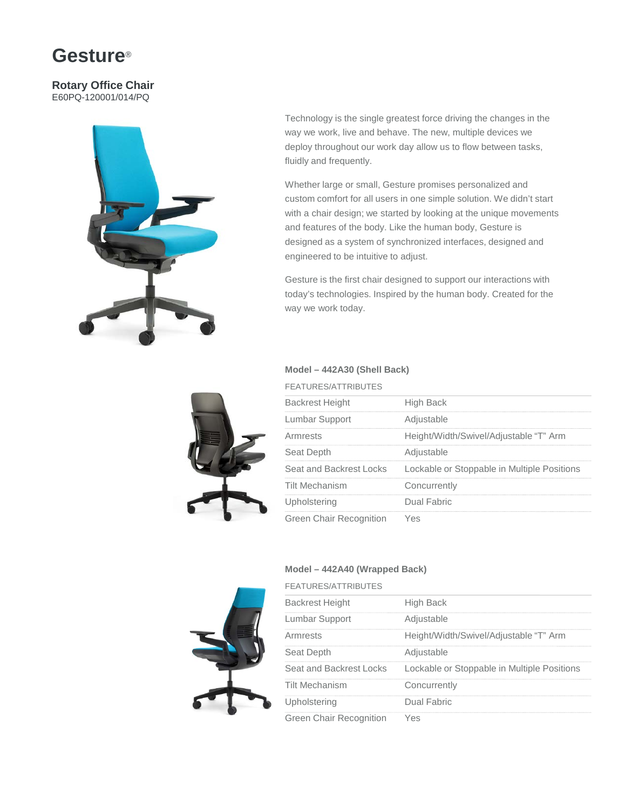### **Gesture**®

#### **Rotary Office Chair** E60PQ-120001/014/PQ



Technology is the single greatest force driving the changes in the way we work, live and behave. The new, multiple devices we deploy throughout our work day allow us to flow between tasks, fluidly and frequently.

Whether large or small, Gesture promises personalized and custom comfort for all users in one simple solution. We didn't start with a chair design; we started by looking at the unique movements and features of the body. Like the human body, Gesture is designed as a system of synchronized interfaces, designed and engineered to be intuitive to adjust.

Gesture is the first chair designed to support our interactions with today's technologies. Inspired by the human body. Created for the way we work today.

### **Model – 442A30 (Shell Back)**

| <b>FEATURES/ATTRIBUTES</b> |                                             |
|----------------------------|---------------------------------------------|
| <b>Backrest Height</b>     | <b>High Back</b>                            |
| Lumbar Support             | Adjustable                                  |
| Armrests                   | Height/Width/Swivel/Adjustable "T" Arm      |
| Seat Depth                 | Adjustable                                  |
| Seat and Backrest Locks    | Lockable or Stoppable in Multiple Positions |
| <b>Tilt Mechanism</b>      | Concurrently                                |
| Upholstering               | Dual Fabric                                 |
| Green Chair Recognition    | AS                                          |

#### **Model – 442A40 (Wrapped Back)**



| <b>FEATURES/ATTRIBUTES</b>     |                                             |
|--------------------------------|---------------------------------------------|
| <b>Backrest Height</b>         | High Back                                   |
| Lumbar Support                 | Adjustable                                  |
| Armrests                       | Height/Width/Swivel/Adjustable "T" Arm      |
| Seat Depth                     | Adjustable                                  |
| Seat and Backrest Locks        | Lockable or Stoppable in Multiple Positions |
| <b>Tilt Mechanism</b>          | Concurrently                                |
| Upholstering                   | Dual Fabric                                 |
| <b>Green Chair Recognition</b> | Yes                                         |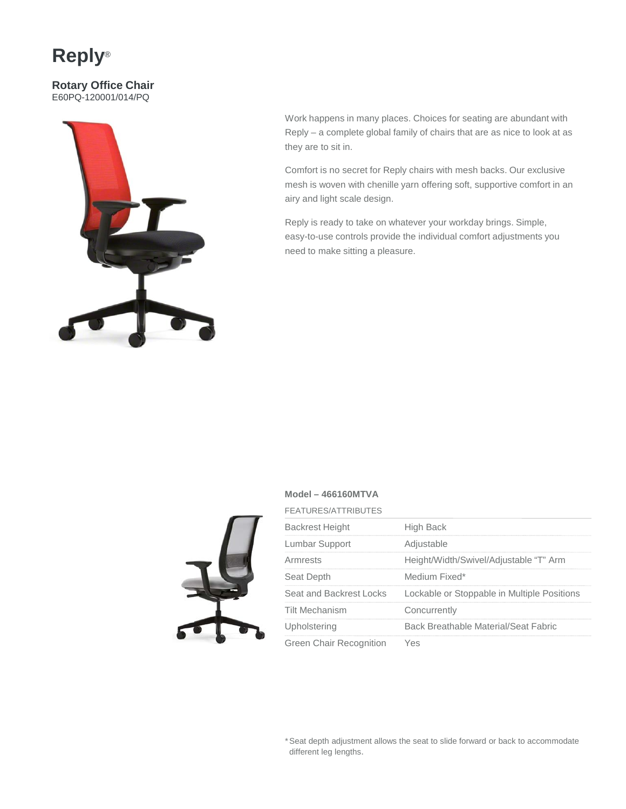## **Reply**®

**Rotary Office Chair** E60PQ-120001/014/PQ



Work happens in many places. Choices for seating are abundant with Reply – a complete global family of chairs that are as nice to look at as they are to sit in.

Comfort is no secret for Reply chairs with mesh backs. Our exclusive mesh is woven with chenille yarn offering soft, supportive comfort in an airy and light scale design.

Reply is ready to take on whatever your workday brings. Simple, easy-to-use controls provide the individual comfort adjustments you need to make sitting a pleasure.

### **Model – 466160MTVA**



| <b>FEATURES/ATTRIBUTES</b>     |                                             |
|--------------------------------|---------------------------------------------|
| <b>Backrest Height</b>         | High Back                                   |
| Lumbar Support                 | Adjustable                                  |
| Armrests                       | Height/Width/Swivel/Adjustable "T" Arm      |
| Seat Depth                     | Medium Fixed*                               |
| Seat and Backrest Locks        | Lockable or Stoppable in Multiple Positions |
| Tilt Mechanism                 | Concurrently                                |
| Upholstering                   | Back Breathable Material/Seat Fabric        |
| <b>Green Chair Recognition</b> | Yes                                         |

\*Seat depth adjustment allows the seat to slide forward or back to accommodate different leg lengths.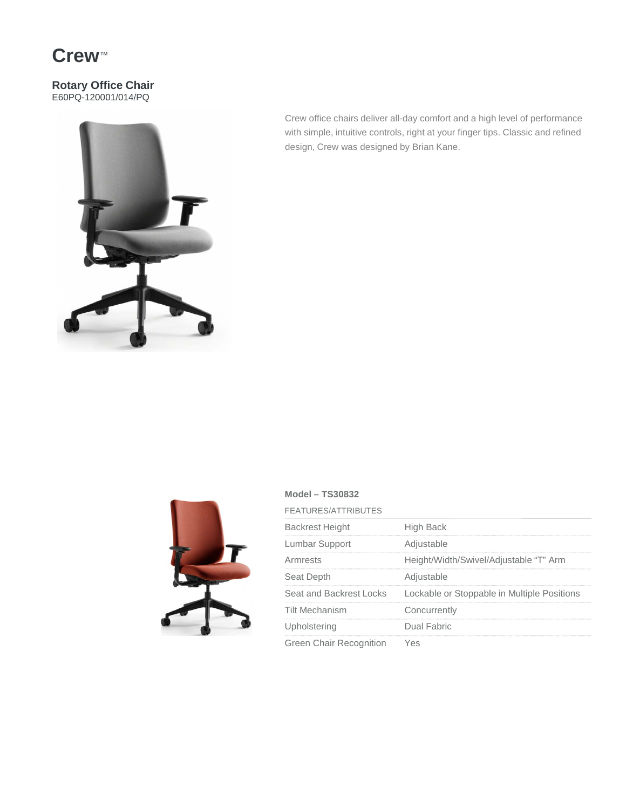### **Crew**™

### **Rotary Office Chair** E60PQ-120001/014/PQ



Crew office chairs deliver all-day comfort and a high level of performance with simple, intuitive controls, right at your finger tips. Classic and refined design, Crew was designed by Brian Kane.



### **Model – TS30832**

| <b>FEATURES/ATTRIBUTES</b>     |                                             |
|--------------------------------|---------------------------------------------|
| <b>Backrest Height</b>         | High Back                                   |
| Lumbar Support                 | Adjustable                                  |
| Armrests                       | Height/Width/Swivel/Adjustable "T" Arm      |
| Seat Depth                     | Adjustable                                  |
| Seat and Backrest Locks        | Lockable or Stoppable in Multiple Positions |
| <b>Tilt Mechanism</b>          | Concurrently                                |
| Upholstering                   | Dual Fabric                                 |
| <b>Green Chair Recognition</b> | /es                                         |